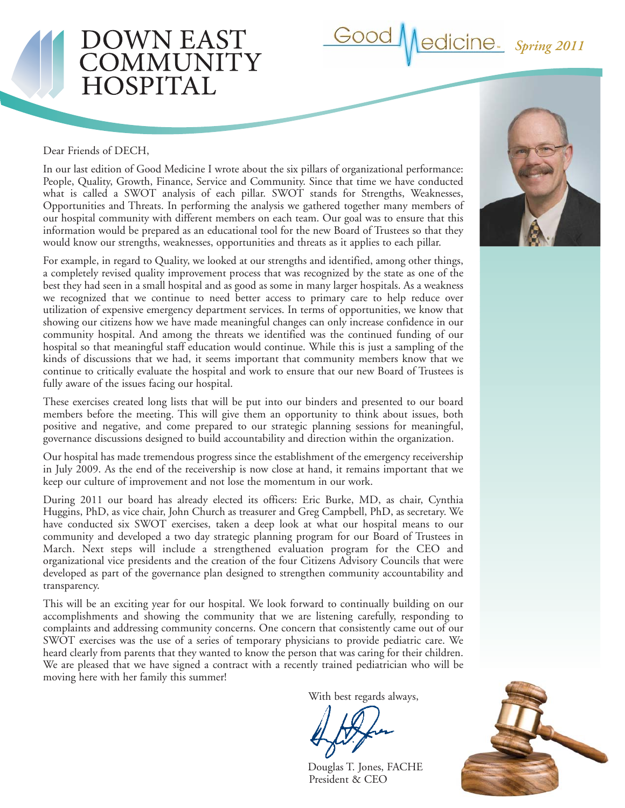

#### Dear Friends of DECH,

OWN EAST

OMMUNITY

**IOSPITAL** 

In our last edition of Good Medicine I wrote about the six pillars of organizational performance: People, Quality, Growth, Finance, Service and Community. Since that time we have conducted what is called a SWOT analysis of each pillar. SWOT stands for Strengths, Weaknesses, Opportunities and Threats. In performing the analysis we gathered together many members of our hospital community with different members on each team. Our goal was to ensure that this information would be prepared as an educational tool for the new Board of Trustees so that they would know our strengths, weaknesses, opportunities and threats as it applies to each pillar.

For example, in regard to Quality, we looked at our strengths and identified, among other things, a completely revised quality improvement process that was recognized by the state as one of the best they had seen in a small hospital and as good as some in many larger hospitals. As a weakness we recognized that we continue to need better access to primary care to help reduce over utilization of expensive emergency department services. In terms of opportunities, we know that showing our citizens how we have made meaningful changes can only increase confidence in our community hospital. And among the threats we identified was the continued funding of our hospital so that meaningful staff education would continue. While this is just a sampling of the kinds of discussions that we had, it seems important that community members know that we continue to critically evaluate the hospital and work to ensure that our new Board of Trustees is fully aware of the issues facing our hospital.

These exercises created long lists that will be put into our binders and presented to our board members before the meeting. This will give them an opportunity to think about issues, both positive and negative, and come prepared to our strategic planning sessions for meaningful, governance discussions designed to build accountability and direction within the organization.

Our hospital has made tremendous progress since the establishment of the emergency receivership in July 2009. As the end of the receivership is now close at hand, it remains important that we keep our culture of improvement and not lose the momentum in our work.

During 2011 our board has already elected its officers: Eric Burke, MD, as chair, Cynthia Huggins, PhD, as vice chair, John Church as treasurer and Greg Campbell, PhD, as secretary. We have conducted six SWOT exercises, taken a deep look at what our hospital means to our community and developed a two day strategic planning program for our Board of Trustees in March. Next steps will include a strengthened evaluation program for the CEO and organizational vice presidents and the creation of the four Citizens Advisory Councils that were developed as part of the governance plan designed to strengthen community accountability and transparency.

This will be an exciting year for our hospital. We look forward to continually building on our accomplishments and showing the community that we are listening carefully, responding to complaints and addressing community concerns. One concern that consistently came out of our SWOT exercises was the use of a series of temporary physicians to provide pediatric care. We heard clearly from parents that they wanted to know the person that was caring for their children. We are pleased that we have signed a contract with a recently trained pediatrician who will be moving here with her family this summer!

With best regards always,

Douglas T. Jones, FACHE President & CEO



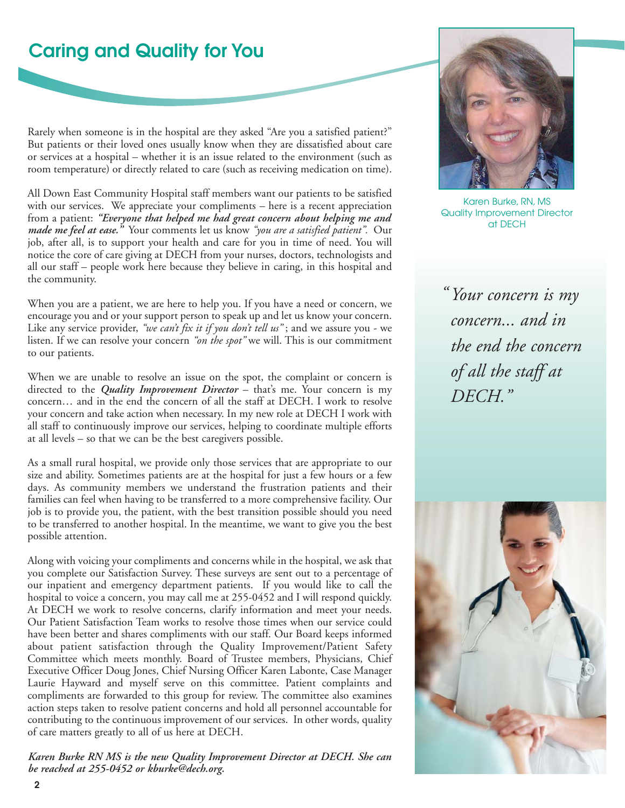## **Caring and Quality for You**

Rarely when someone is in the hospital are they asked "Are you a satisfied patient?" But patients or their loved ones usually know when they are dissatisfied about care or services at a hospital – whether it is an issue related to the environment (such as room temperature) or directly related to care (such as receiving medication on time).

All Down East Community Hospital staff members want our patients to be satisfied with our services. We appreciate your compliments – here is a recent appreciation from a patient: *"Everyone that helped me had great concern about helping me and made me feel at ease."* Your comments let us know *"you are a satisfied patient".* Our job, after all, is to support your health and care for you in time of need. You will notice the core of care giving at DECH from your nurses, doctors, technologists and all our staff – people work here because they believe in caring, in this hospital and the community.

When you are a patient, we are here to help you. If you have a need or concern, we encourage you and or your support person to speak up and let us know your concern. Like any service provider, *"we can't fix it if you don't tell us"* ; and we assure you - we listen. If we can resolve your concern *"on the spot"* we will. This is our commitment to our patients.

When we are unable to resolve an issue on the spot, the complaint or concern is directed to the *Quality Improvement Director* – that's me. Your concern is my concern… and in the end the concern of all the staff at DECH. I work to resolve your concern and take action when necessary. In my new role at DECH I work with all staff to continuously improve our services, helping to coordinate multiple efforts at all levels – so that we can be the best caregivers possible.

As a small rural hospital, we provide only those services that are appropriate to our size and ability. Sometimes patients are at the hospital for just a few hours or a few days. As community members we understand the frustration patients and their families can feel when having to be transferred to a more comprehensive facility. Our job is to provide you, the patient, with the best transition possible should you need to be transferred to another hospital. In the meantime, we want to give you the best possible attention.

Along with voicing your compliments and concerns while in the hospital, we ask that you complete our Satisfaction Survey. These surveys are sent out to a percentage of our inpatient and emergency department patients. If you would like to call the hospital to voice a concern, you may call me at 255-0452 and I will respond quickly. At DECH we work to resolve concerns, clarify information and meet your needs. Our Patient Satisfaction Team works to resolve those times when our service could have been better and shares compliments with our staff. Our Board keeps informed about patient satisfaction through the Quality Improvement/Patient Safety Committee which meets monthly. Board of Trustee members, Physicians, Chief Executive Officer Doug Jones, Chief Nursing Officer Karen Labonte, Case Manager Laurie Hayward and myself serve on this committee. Patient complaints and compliments are forwarded to this group for review. The committee also examines action steps taken to resolve patient concerns and hold all personnel accountable for contributing to the continuous improvement of our services. In other words, quality of care matters greatly to all of us here at DECH.

*Karen Burke RN MS is the new Quality Improvement Director at DECH. She can be reached at 255-0452 or kburke@dech.org.*



Karen Burke, RN, MS Quality Improvement Director at DECH

*Your concern is my " concern... and in the end the concern of all the staff at DECH."*

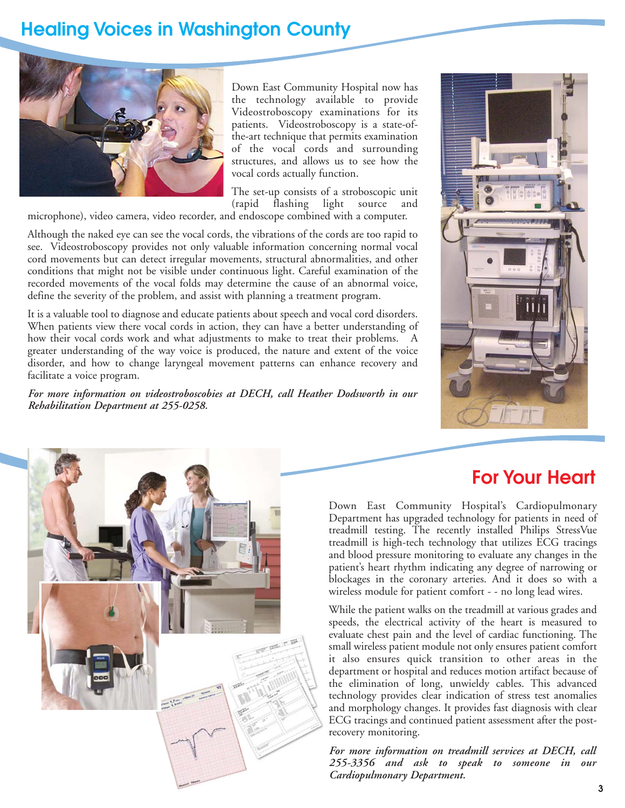## **Healing Voices in Washington County**



Down East Community Hospital now has the technology available to provide Videostroboscopy examinations for its patients. Videostroboscopy is a state-ofthe-art technique that permits examination of the vocal cords and surrounding structures, and allows us to see how the vocal cords actually function.

The set-up consists of a stroboscopic unit (rapid flashing light source and

microphone), video camera, video recorder, and endoscope combined with a computer.

Although the naked eye can see the vocal cords, the vibrations of the cords are too rapid to see. Videostroboscopy provides not only valuable information concerning normal vocal cord movements but can detect irregular movements, structural abnormalities, and other conditions that might not be visible under continuous light. Careful examination of the recorded movements of the vocal folds may determine the cause of an abnormal voice, define the severity of the problem, and assist with planning a treatment program.

It is a valuable tool to diagnose and educate patients about speech and vocal cord disorders. When patients view there vocal cords in action, they can have a better understanding of how their vocal cords work and what adjustments to make to treat their problems. A greater understanding of the way voice is produced, the nature and extent of the voice disorder, and how to change laryngeal movement patterns can enhance recovery and facilitate a voice program.

*For more information on videostroboscobies at DECH, call Heather Dodsworth in our Rehabilitation Department at 255-0258.*





### **For Your Heart**

Down East Community Hospital's Cardiopulmonary Department has upgraded technology for patients in need of treadmill testing. The recently installed Philips StressVue treadmill is high-tech technology that utilizes ECG tracings and blood pressure monitoring to evaluate any changes in the patient's heart rhythm indicating any degree of narrowing or blockages in the coronary arteries. And it does so with a wireless module for patient comfort - - no long lead wires.

While the patient walks on the treadmill at various grades and speeds, the electrical activity of the heart is measured to evaluate chest pain and the level of cardiac functioning. The small wireless patient module not only ensures patient comfort it also ensures quick transition to other areas in the department or hospital and reduces motion artifact because of the elimination of long, unwieldy cables. This advanced technology provides clear indication of stress test anomalies and morphology changes. It provides fast diagnosis with clear ECG tracings and continued patient assessment after the postrecovery monitoring.

*For more information on treadmill services at DECH, call 255-3356 and ask to speak to someone in our Cardiopulmonary Department.*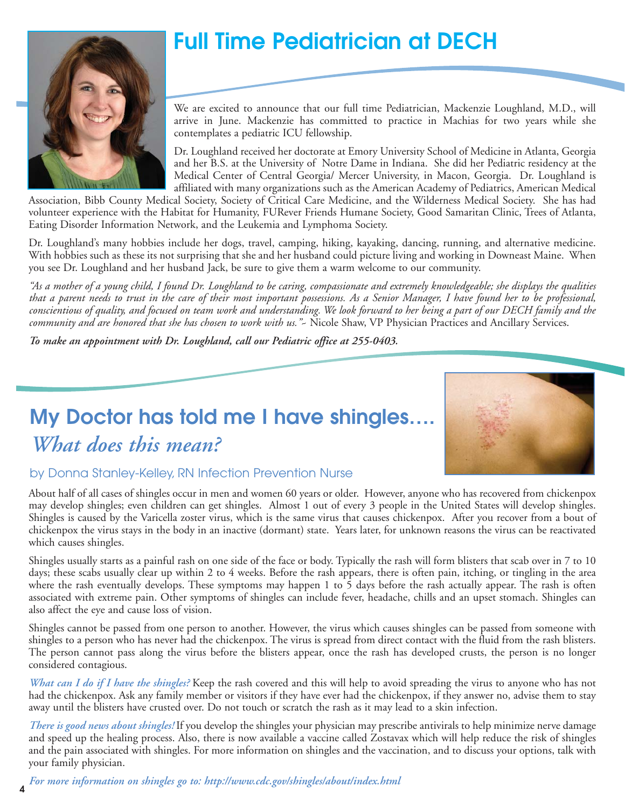

# **Full Time Pediatrician at DECH**

We are excited to announce that our full time Pediatrician, Mackenzie Loughland, M.D., will arrive in June. Mackenzie has committed to practice in Machias for two years while she contemplates a pediatric ICU fellowship.

Dr. Loughland received her doctorate at Emory University School of Medicine in Atlanta, Georgia and her B.S. at the University of Notre Dame in Indiana. She did her Pediatric residency at the Medical Center of Central Georgia/ Mercer University, in Macon, Georgia. Dr. Loughland is affiliated with many organizations such as the American Academy of Pediatrics, American Medical

Association, Bibb County Medical Society, Society of Critical Care Medicine, and the Wilderness Medical Society. She has had volunteer experience with the Habitat for Humanity, FURever Friends Humane Society, Good Samaritan Clinic, Trees of Atlanta, Eating Disorder Information Network, and the Leukemia and Lymphoma Society.

Dr. Loughland's many hobbies include her dogs, travel, camping, hiking, kayaking, dancing, running, and alternative medicine. With hobbies such as these its not surprising that she and her husband could picture living and working in Downeast Maine. When you see Dr. Loughland and her husband Jack, be sure to give them a warm welcome to our community.

*"As a mother of a young child, I found Dr. Loughland to be caring, compassionate and extremely knowledgeable; she displays the qualities that a parent needs to trust in the care of their most important possessions. As a Senior Manager, I have found her to be professional, conscientious of quality, and focused on team work and understanding. We look forward to her being a part of our DECH family and the community and are honored that she has chosen to work with us."*~ Nicole Shaw, VP Physician Practices and Ancillary Services.

*To make an appointment with Dr. Loughland, call our Pediatric office at 255-0403.* 

# **My Doctor has told me I have shingles….** *What does this mean?*



### by Donna Stanley-Kelley, RN Infection Prevention Nurse

About half of all cases of shingles occur in men and women 60 years or older. However, anyone who has recovered from chickenpox may develop shingles; even children can get shingles. Almost 1 out of every 3 people in the United States will develop shingles. Shingles is caused by the Varicella zoster virus, which is the same virus that causes chickenpox. After you recover from a bout of chickenpox the virus stays in the body in an inactive (dormant) state. Years later, for unknown reasons the virus can be reactivated which causes shingles.

Shingles usually starts as a painful rash on one side of the face or body. Typically the rash will form blisters that scab over in 7 to 10 days; these scabs usually clear up within 2 to 4 weeks. Before the rash appears, there is often pain, itching, or tingling in the area where the rash eventually develops. These symptoms may happen 1 to 5 days before the rash actually appear. The rash is often associated with extreme pain. Other symptoms of shingles can include fever, headache, chills and an upset stomach. Shingles can also affect the eye and cause loss of vision.

Shingles cannot be passed from one person to another. However, the virus which causes shingles can be passed from someone with shingles to a person who has never had the chickenpox. The virus is spread from direct contact with the fluid from the rash blisters. The person cannot pass along the virus before the blisters appear, once the rash has developed crusts, the person is no longer considered contagious.

*What can I do if I have the shingles?* Keep the rash covered and this will help to avoid spreading the virus to anyone who has not had the chickenpox. Ask any family member or visitors if they have ever had the chickenpox, if they answer no, advise them to stay away until the blisters have crusted over. Do not touch or scratch the rash as it may lead to a skin infection.

*There is good news about shingles!* If you develop the shingles your physician may prescribe antivirals to help minimize nerve damage and speed up the healing process. Also, there is now available a vaccine called Zostavax which will help reduce the risk of shingles and the pain associated with shingles. For more information on shingles and the vaccination, and to discuss your options, talk with your family physician.

*For more information on shingles go to: http://www.cdc.gov/shingles/about/index.html*

**4**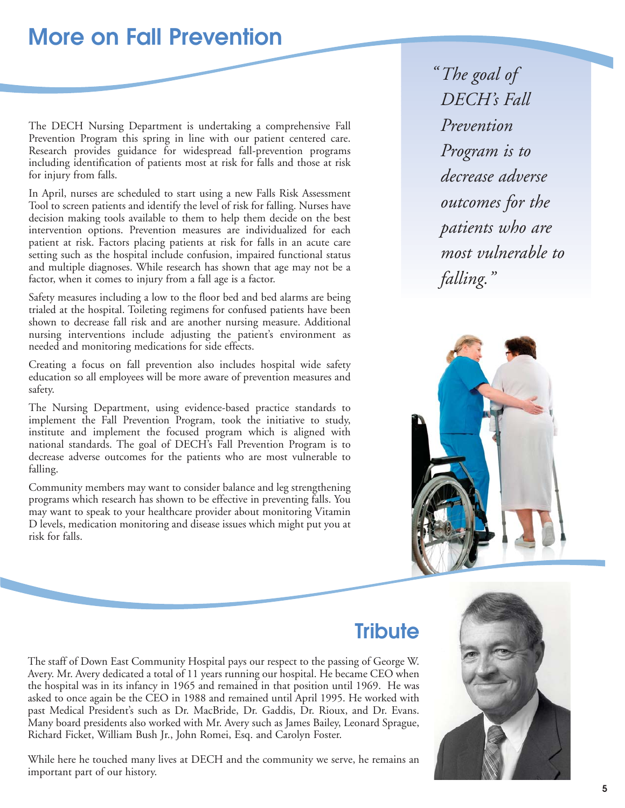# **More on Fall Prevention**

The DECH Nursing Department is undertaking a comprehensive Fall Prevention Program this spring in line with our patient centered care. Research provides guidance for widespread fall-prevention programs including identification of patients most at risk for falls and those at risk for injury from falls.

In April, nurses are scheduled to start using a new Falls Risk Assessment Tool to screen patients and identify the level of risk for falling. Nurses have decision making tools available to them to help them decide on the best intervention options. Prevention measures are individualized for each patient at risk. Factors placing patients at risk for falls in an acute care setting such as the hospital include confusion, impaired functional status and multiple diagnoses. While research has shown that age may not be a factor, when it comes to injury from a fall age is a factor.

Safety measures including a low to the floor bed and bed alarms are being trialed at the hospital. Toileting regimens for confused patients have been shown to decrease fall risk and are another nursing measure. Additional nursing interventions include adjusting the patient's environment as needed and monitoring medications for side effects.

Creating a focus on fall prevention also includes hospital wide safety education so all employees will be more aware of prevention measures and safety.

The Nursing Department, using evidence-based practice standards to implement the Fall Prevention Program, took the initiative to study, institute and implement the focused program which is aligned with national standards. The goal of DECH's Fall Prevention Program is to decrease adverse outcomes for the patients who are most vulnerable to falling.

Community members may want to consider balance and leg strengthening programs which research has shown to be effective in preventing falls. You may want to speak to your healthcare provider about monitoring Vitamin D levels, medication monitoring and disease issues which might put you at risk for falls.

*The goal of "DECH's Fall Prevention Program is to decrease adverse outcomes for the patients who are most vulnerable to falling."*



### **Tribute**

The staff of Down East Community Hospital pays our respect to the passing of George W. Avery. Mr. Avery dedicated a total of 11 years running our hospital. He became CEO when the hospital was in its infancy in 1965 and remained in that position until 1969. He was asked to once again be the CEO in 1988 and remained until April 1995. He worked with past Medical President's such as Dr. MacBride, Dr. Gaddis, Dr. Rioux, and Dr. Evans. Many board presidents also worked with Mr. Avery such as James Bailey, Leonard Sprague, Richard Ficket, William Bush Jr., John Romei, Esq. and Carolyn Foster.

While here he touched many lives at DECH and the community we serve, he remains an important part of our history.

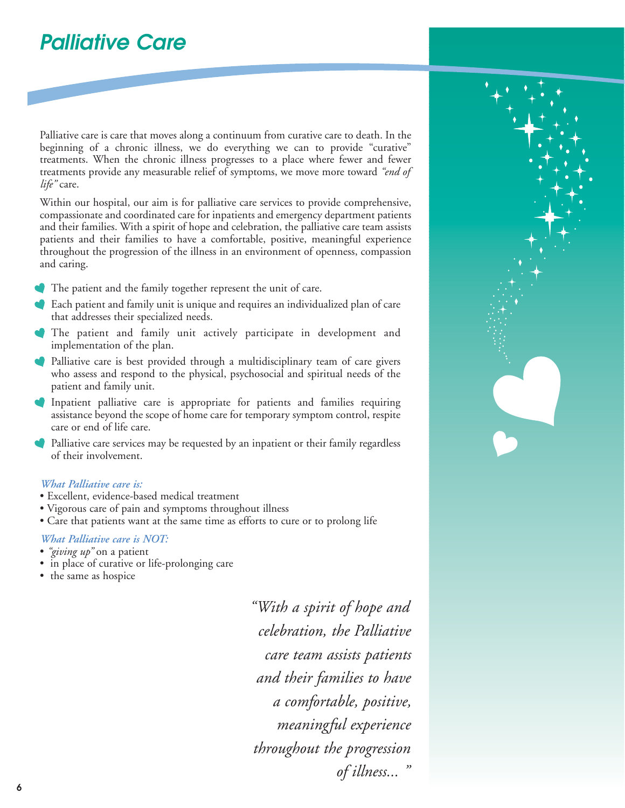# **Palliative Care**

Palliative care is care that moves along a continuum from curative care to death. In the beginning of a chronic illness, we do everything we can to provide "curative" treatments. When the chronic illness progresses to a place where fewer and fewer treatments provide any measurable relief of symptoms, we move more toward *"end of life"* care.

Within our hospital, our aim is for palliative care services to provide comprehensive, compassionate and coordinated care for inpatients and emergency department patients and their families. With a spirit of hope and celebration, the palliative care team assists patients and their families to have a comfortable, positive, meaningful experience throughout the progression of the illness in an environment of openness, compassion and caring.

- The patient and the family together represent the unit of care.
- Each patient and family unit is unique and requires an individualized plan of care that addresses their specialized needs.
- The patient and family unit actively participate in development and implementation of the plan.
- Palliative care is best provided through a multidisciplinary team of care givers who assess and respond to the physical, psychosocial and spiritual needs of the patient and family unit.
- Inpatient palliative care is appropriate for patients and families requiring assistance beyond the scope of home care for temporary symptom control, respite care or end of life care.
- Palliative care services may be requested by an inpatient or their family regardless of their involvement.

#### *What Palliative care is:*

- Excellent, evidence-based medical treatment
- Vigorous care of pain and symptoms throughout illness
- Care that patients want at the same time as efforts to cure or to prolong life

#### *What Palliative care is NOT:*

- *"giving up"* on a patient
- in place of curative or life-prolonging care
- the same as hospice

*"With a spirit of hope and celebration, the Palliative care team assists patients and their families to have a comfortable, positive, meaningful experience throughout the progression of illness... "*

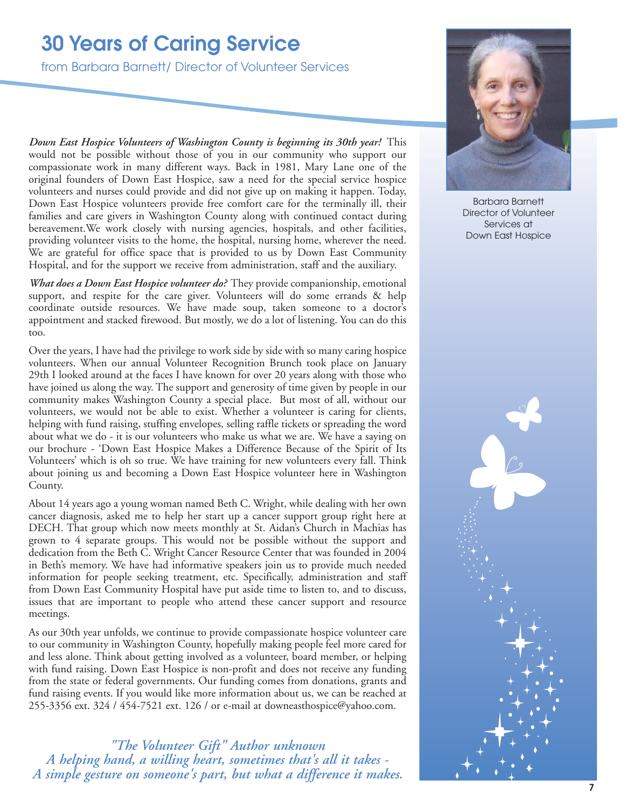# **30 Years of Caring Service**

from Barbara Barnett/ Director of Volunteer Services

*Down East Hospice Volunteers of Washington County is beginning its 30th year!* This would not be possible without those of you in our community who support our compassionate work in many different ways. Back in 1981, Mary Lane one of the original founders of Down East Hospice, saw a need for the special service hospice volunteers and nurses could provide and did not give up on making it happen. Today, Down East Hospice volunteers provide free comfort care for the terminally ill, their families and care givers in Washington County along with continued contact during bereavement.We work closely with nursing agencies, hospitals, and other facilities, providing volunteer visits to the home, the hospital, nursing home, wherever the need. We are grateful for office space that is provided to us by Down East Community Hospital, and for the support we receive from administration, staff and the auxiliary.

*What does a Down East Hospice volunteer do?* They provide companionship, emotional support, and respite for the care giver. Volunteers will do some errands & help coordinate outside resources. We have made soup, taken someone to a doctor's appointment and stacked firewood. But mostly, we do a lot of listening. You can do this too.

Over the years, I have had the privilege to work side by side with so many caring hospice volunteers. When our annual Volunteer Recognition Brunch took place on January 29th I looked around at the faces I have known for over 20 years along with those who have joined us along the way. The support and generosity of time given by people in our community makes Washington County a special place. But most of all, without our volunteers, we would not be able to exist. Whether a volunteer is caring for clients, helping with fund raising, stuffing envelopes, selling raffle tickets or spreading the word about what we do - it is our volunteers who make us what we are. We have a saying on our brochure - 'Down East Hospice Makes a Difference Because of the Spirit of Its Volunteers' which is oh so true. We have training for new volunteers every fall. Think about joining us and becoming a Down East Hospice volunteer here in Washington County.

About 14 years ago a young woman named Beth C. Wright, while dealing with her own cancer diagnosis, asked me to help her start up a cancer support group right here at DECH. That group which now meets monthly at St. Aidan's Church in Machias has grown to 4 separate groups. This would not be possible without the support and dedication from the Beth C. Wright Cancer Resource Center that was founded in 2004 in Beth's memory. We have had informative speakers join us to provide much needed information for people seeking treatment, etc. Specifically, administration and staff from Down East Community Hospital have put aside time to listen to, and to discuss, issues that are important to people who attend these cancer support and resource meetings.

As our 30th year unfolds, we continue to provide compassionate hospice volunteer care to our community in Washington County, hopefully making people feel more cared for and less alone. Think about getting involved as a volunteer, board member, or helping with fund raising. Down East Hospice is non-profit and does not receive any funding from the state or federal governments. Our funding comes from donations, grants and fund raising events. If you would like more information about us, we can be reached at 255-3356 ext. 324 / 454-7521 ext. 126 / or e-mail at downeasthospice@yahoo.com.

*"The Volunteer Gift" Author unknown A helping hand, a willing heart, sometimes that's all it takes - A simple gesture on someone's part, but what a difference it makes.*



Barbara Barnett Director of Volunteer Services at Down East Hospice